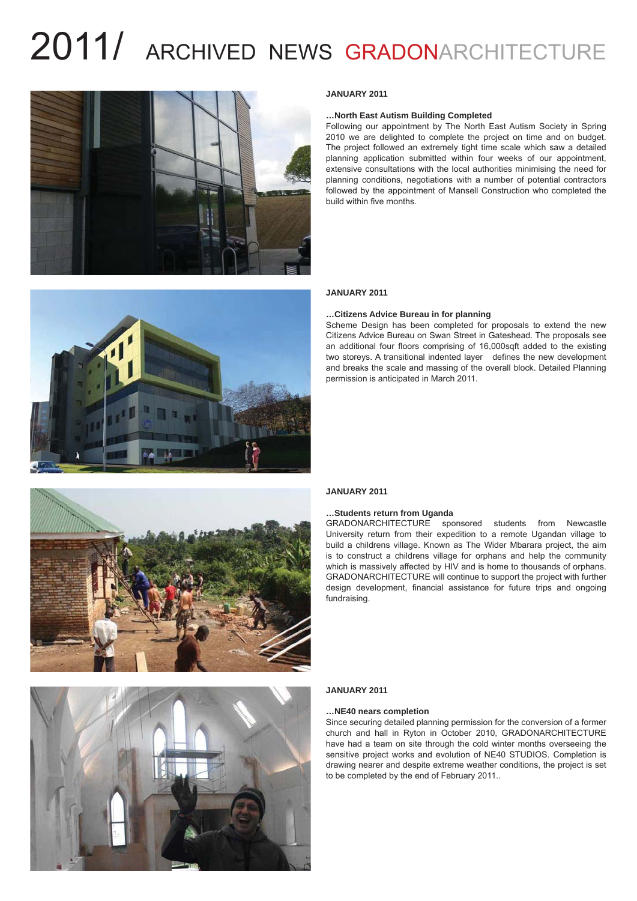



#### **…North East Autism Building Completed**

Following our appointment by The North East Autism Society in Spring 2010 we are delighted to complete the project on time and on budget. The project followed an extremely tight time scale which saw a detailed planning application submitted within four weeks of our appointment, extensive consultations with the local authorities minimising the need for planning conditions, negotiations with a number of potential contractors followed by the appointment of Mansell Construction who completed the build within five months.



#### **JANUARY 2011**

#### **…Citizens Advice Bureau in for planning**

Scheme Design has been completed for proposals to extend the new Citizens Advice Bureau on Swan Street in Gateshead. The proposals see an additional four floors comprising of 16,000sqft added to the existing two storeys. A transitional indented layer defines the new development and breaks the scale and massing of the overall block. Detailed Planning permission is anticipated in March 2011.





#### **JANUARY 2011**

#### **…Students return from Uganda**

GRADONARCHITECTURE sponsored students from Newcastle University return from their expedition to a remote Ugandan village to build a childrens village. Known as The Wider Mbarara project, the aim is to construct a childrens village for orphans and help the community which is massively affected by HIV and is home to thousands of orphans. GRADONARCHITECTURE will continue to support the project with further design development, financial assistance for future trips and ongoing fundraising.

#### **JANUARY 2011**

#### **…NE40 nears completion**

Since securing detailed planning permission for the conversion of a former church and hall in Ryton in October 2010, GRADONARCHITECTURE have had a team on site through the cold winter months overseeing the sensitive project works and evolution of NE40 STUDIOS. Completion is drawing nearer and despite extreme weather conditions, the project is set to be completed by the end of February 2011..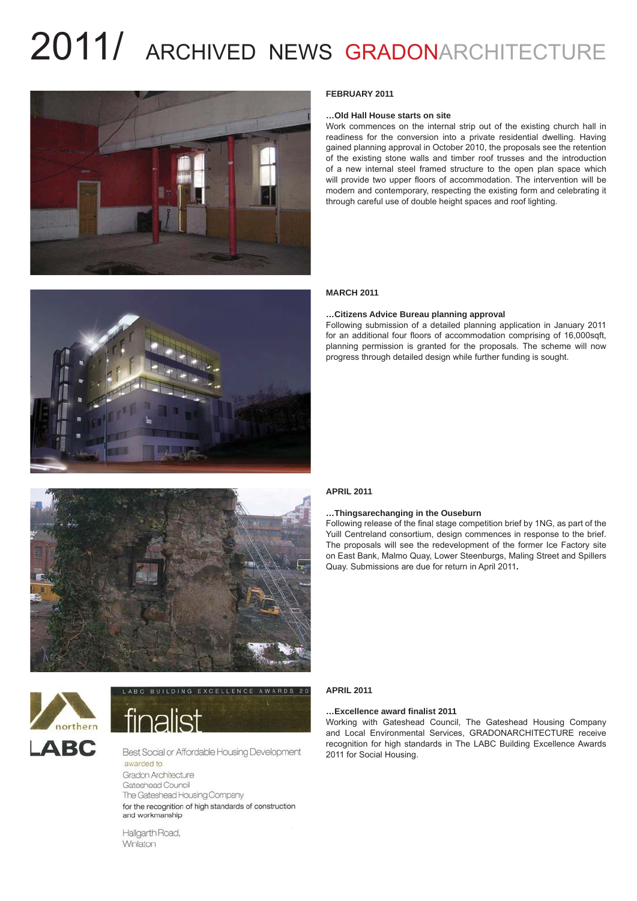



#### **FEBRUARY 2011**

#### **…Old Hall House starts on site**

Work commences on the internal strip out of the existing church hall in readiness for the conversion into a private residential dwelling. Having gained planning approval in October 2010, the proposals see the retention of the existing stone walls and timber roof trusses and the introduction of a new internal steel framed structure to the open plan space which will provide two upper floors of accommodation. The intervention will be modern and contemporary, respecting the existing form and celebrating it through careful use of double height spaces and roof lighting.

#### **MARCH 2011**

#### **…Citizens Advice Bureau planning approval**

Following submission of a detailed planning application in January 2011 for an additional four floors of accommodation comprising of 16,000sqft, planning permission is granted for the proposals. The scheme will now progress through detailed design while further funding is sought.



### northern **LARC**

# finalist

Best Social or Affordable Housing Development awarded to Gradon Architecture Gateshead Council The Gateshead Housing Company for the recognition of high standards of construction and workmanship

Hallgarth Road, Winlaton

#### **APRIL 2011**

#### **…Thingsarechanging in the Ouseburn**

Following release of the final stage competition brief by 1NG, as part of the Yuill Centreland consortium, design commences in response to the brief. The proposals will see the redevelopment of the former Ice Factory site on East Bank, Malmo Quay, Lower Steenburgs, Maling Street and Spillers Quay. Submissions are due for return in April 2011**.**

#### **APRIL 2011**

#### **…Excellence award fi nalist 2011**

Working with Gateshead Council, The Gateshead Housing Company and Local Environmental Services, GRADONARCHITECTURE receive recognition for high standards in The LABC Building Excellence Awards 2011 for Social Housing.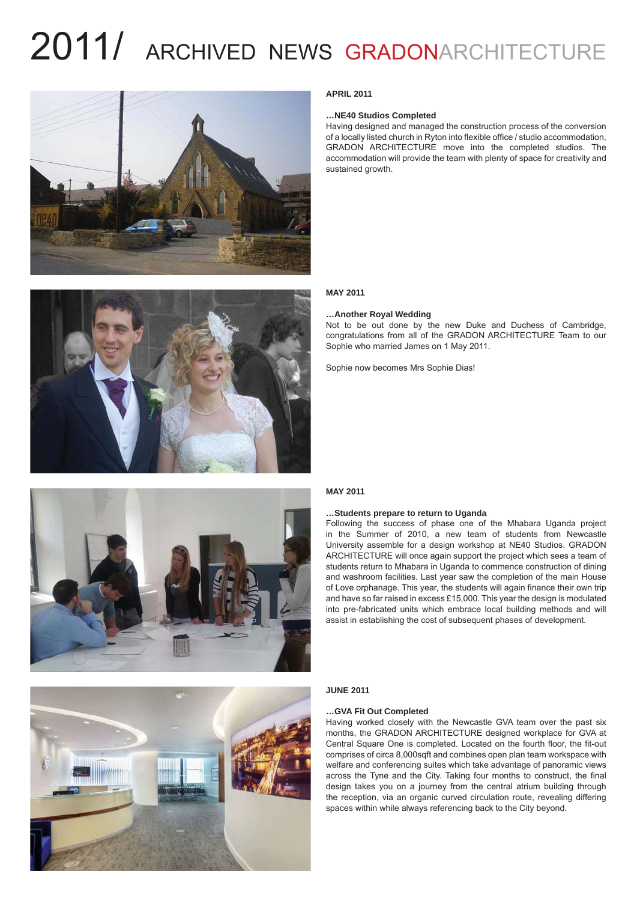



#### **APRIL 2011**

#### **…NE40 Studios Completed**

Having designed and managed the construction process of the conversion of a locally listed church in Ryton into flexible office / studio accommodation, GRADON ARCHITECTURE move into the completed studios. The accommodation will provide the team with plenty of space for creativity and sustained growth.

#### **MAY 2011**

#### **…Another Royal Wedding**

Not to be out done by the new Duke and Duchess of Cambridge, congratulations from all of the GRADON ARCHITECTURE Team to our Sophie who married James on 1 May 2011.

Sophie now becomes Mrs Sophie Dias!



#### **MAY 2011**

#### **…Students prepare to return to Uganda**

Following the success of phase one of the Mhabara Uganda project in the Summer of 2010, a new team of students from Newcastle University assemble for a design workshop at NE40 Studios. GRADON ARCHITECTURE will once again support the project which sees a team of students return to Mhabara in Uganda to commence construction of dining and washroom facilities. Last year saw the completion of the main House of Love orphanage. This year, the students will again finance their own trip and have so far raised in excess £15,000. This year the design is modulated into pre-fabricated units which embrace local building methods and will assist in establishing the cost of subsequent phases of development.

#### **JUNE 2011**

#### **…GVA Fit Out Completed**

Having worked closely with the Newcastle GVA team over the past six months, the GRADON ARCHITECTURE designed workplace for GVA at Central Square One is completed. Located on the fourth floor, the fit-out comprises of circa 8,000sqft and combines open plan team workspace with welfare and conferencing suites which take advantage of panoramic views across the Tyne and the City. Taking four months to construct, the final design takes you on a journey from the central atrium building through the reception, via an organic curved circulation route, revealing differing spaces within while always referencing back to the City beyond.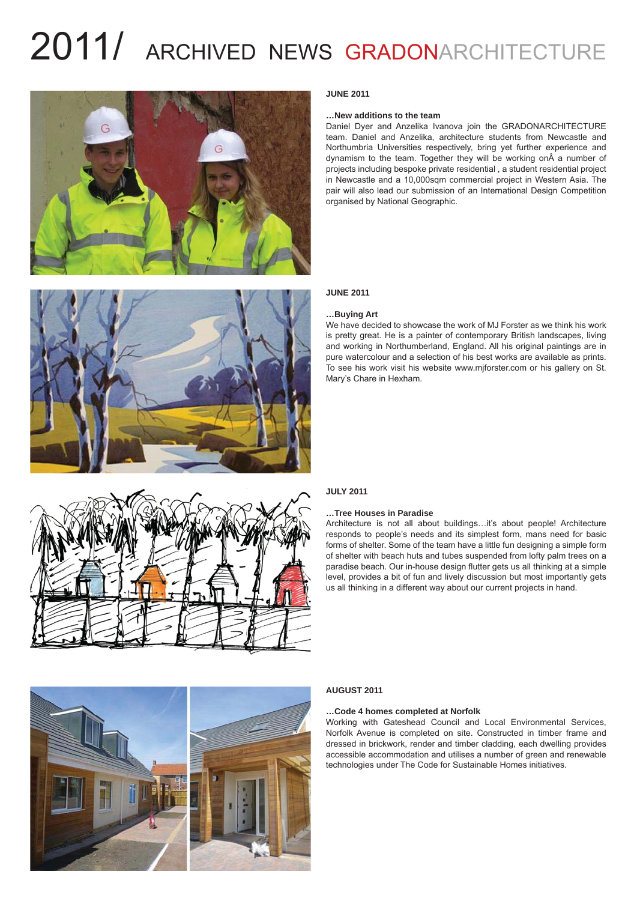



#### **JUNE 2011**

#### **…New additions to the team**

Daniel Dyer and Anzelika Ivanova join the GRADONARCHITECTURE team. Daniel and Anzelika, architecture students from Newcastle and Northumbria Universities respectively, bring yet further experience and dynamism to the team. Together they will be working on A a number of projects including bespoke private residential , a student residential project in Newcastle and a 10,000sqm commercial project in Western Asia. The pair will also lead our submission of an International Design Competition organised by National Geographic.

#### **JUNE 2011**

#### **…Buying Art**

We have decided to showcase the work of MJ Forster as we think his work is pretty great. He is a painter of contemporary British landscapes, living and working in Northumberland, England. All his original paintings are in pure watercolour and a selection of his best works are available as prints. To see his work visit his website www.mjforster.com or his gallery on St. Mary's Chare in Hexham.



#### **JULY 2011**

#### **…Tree Houses in Paradise**

Architecture is not all about buildings…it's about people! Architecture responds to people's needs and its simplest form, mans need for basic forms of shelter. Some of the team have a little fun designing a simple form of shelter with beach huts and tubes suspended from lofty palm trees on a paradise beach. Our in-house design flutter gets us all thinking at a simple level, provides a bit of fun and lively discussion but most importantly gets us all thinking in a different way about our current projects in hand.



#### **AUGUST 2011**

#### **…Code 4 homes completed at Norfolk**

Working with Gateshead Council and Local Environmental Services, Norfolk Avenue is completed on site. Constructed in timber frame and dressed in brickwork, render and timber cladding, each dwelling provides accessible accommodation and utilises a number of green and renewable technologies under The Code for Sustainable Homes initiatives.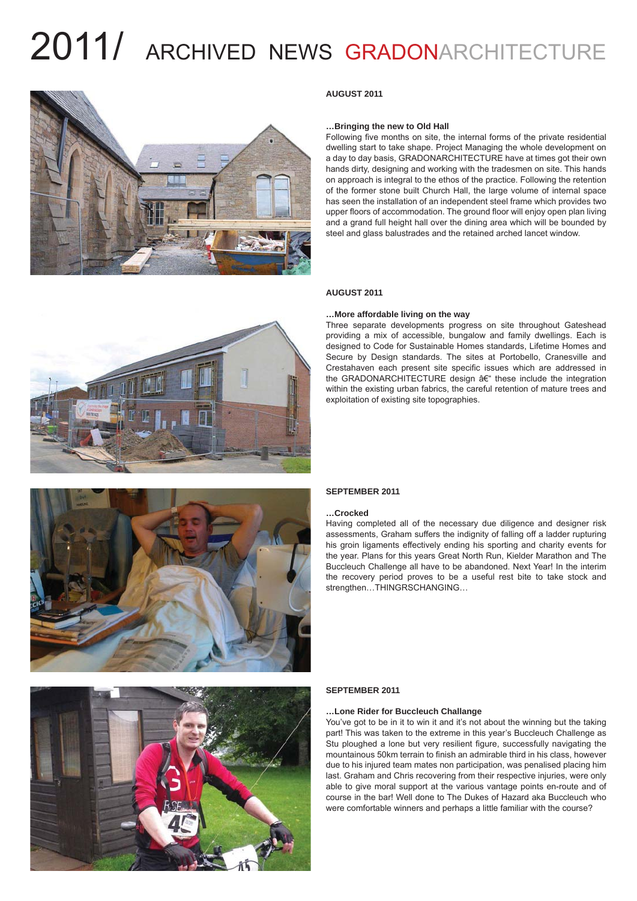

#### **AUGUST 2011**

#### **…Bringing the new to Old Hall**

Following five months on site, the internal forms of the private residential dwelling start to take shape. Project Managing the whole development on a day to day basis, GRADONARCHITECTURE have at times got their own hands dirty, designing and working with the tradesmen on site. This hands on approach is integral to the ethos of the practice. Following the retention of the former stone built Church Hall, the large volume of internal space has seen the installation of an independent steel frame which provides two upper floors of accommodation. The ground floor will enjoy open plan living and a grand full height hall over the dining area which will be bounded by steel and glass balustrades and the retained arched lancet window.



#### **…More affordable living on the way**

Three separate developments progress on site throughout Gateshead providing a mix of accessible, bungalow and family dwellings. Each is designed to Code for Sustainable Homes standards, Lifetime Homes and Secure by Design standards. The sites at Portobello, Cranesville and Crestahaven each present site specific issues which are addressed in the GRADONARCHITECTURE design  $A \in H$  these include the integration within the existing urban fabrics, the careful retention of mature trees and exploitation of existing site topographies.



#### **SEPTEMBER 2011**

#### **…Crocked**

Having completed all of the necessary due diligence and designer risk assessments, Graham suffers the indignity of falling off a ladder rupturing his groin ligaments effectively ending his sporting and charity events for the year. Plans for this years Great North Run, Kielder Marathon and The Buccleuch Challenge all have to be abandoned. Next Year! In the interim the recovery period proves to be a useful rest bite to take stock and strengthen…THINGRSCHANGING…



#### **SEPTEMBER 2011**

#### **…Lone Rider for Buccleuch Challange**

You've got to be in it to win it and it's not about the winning but the taking part! This was taken to the extreme in this year's Buccleuch Challenge as Stu ploughed a lone but very resilient figure, successfully navigating the mountainous 50km terrain to finish an admirable third in his class, however due to his injured team mates non participation, was penalised placing him last. Graham and Chris recovering from their respective injuries, were only able to give moral support at the various vantage points en-route and of course in the bar! Well done to The Dukes of Hazard aka Buccleuch who were comfortable winners and perhaps a little familiar with the course?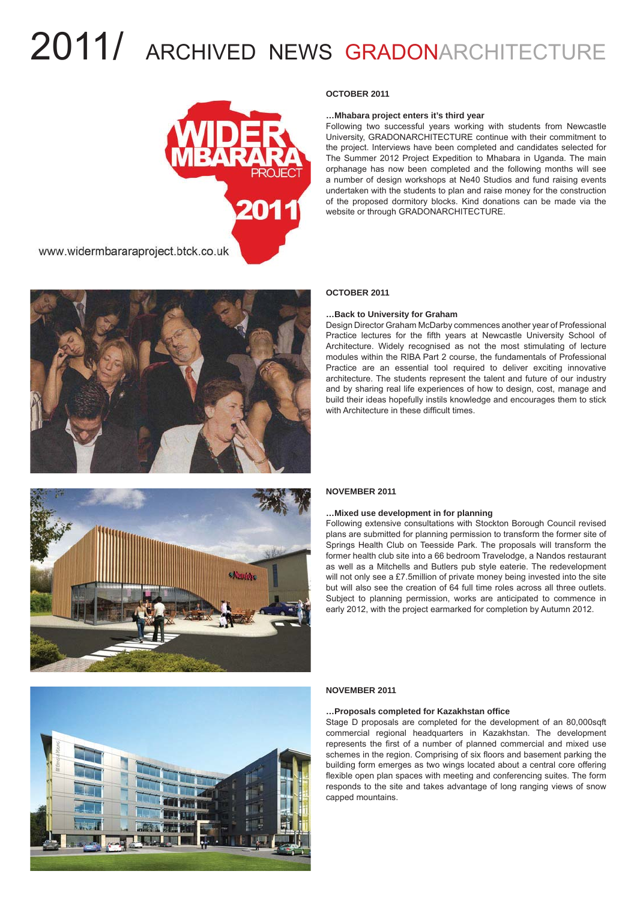

www.widermbararaproject.btck.co.uk



#### **OCTOBER 2011**

#### **…Mhabara project enters it's third year**

Following two successful years working with students from Newcastle University, GRADONARCHITECTURE continue with their commitment to the project. Interviews have been completed and candidates selected for The Summer 2012 Project Expedition to Mhabara in Uganda. The main orphanage has now been completed and the following months will see a number of design workshops at Ne40 Studios and fund raising events undertaken with the students to plan and raise money for the construction of the proposed dormitory blocks. Kind donations can be made via the website or through GRADONARCHITECTURE.

#### **OCTOBER 2011**

#### **…Back to University for Graham**

Design Director Graham McDarby commences another year of Professional Practice lectures for the fifth years at Newcastle University School of Architecture. Widely recognised as not the most stimulating of lecture modules within the RIBA Part 2 course, the fundamentals of Professional Practice are an essential tool required to deliver exciting innovative architecture. The students represent the talent and future of our industry and by sharing real life experiences of how to design, cost, manage and build their ideas hopefully instils knowledge and encourages them to stick with Architecture in these difficult times.



### **NOVEMBER 2011**

#### **…Mixed use development in for planning**

Following extensive consultations with Stockton Borough Council revised plans are submitted for planning permission to transform the former site of Springs Health Club on Teesside Park. The proposals will transform the former health club site into a 66 bedroom Travelodge, a Nandos restaurant as well as a Mitchells and Butlers pub style eaterie. The redevelopment will not only see a £7.5million of private money being invested into the site but will also see the creation of 64 full time roles across all three outlets. Subject to planning permission, works are anticipated to commence in early 2012, with the project earmarked for completion by Autumn 2012.



#### **NOVEMBER 2011**

#### **…Proposals completed for Kazakhstan offi ce**

Stage D proposals are completed for the development of an 80,000sqft commercial regional headquarters in Kazakhstan. The development represents the first of a number of planned commercial and mixed use schemes in the region. Comprising of six floors and basement parking the building form emerges as two wings located about a central core offering flexible open plan spaces with meeting and conferencing suites. The form responds to the site and takes advantage of long ranging views of snow capped mountains.